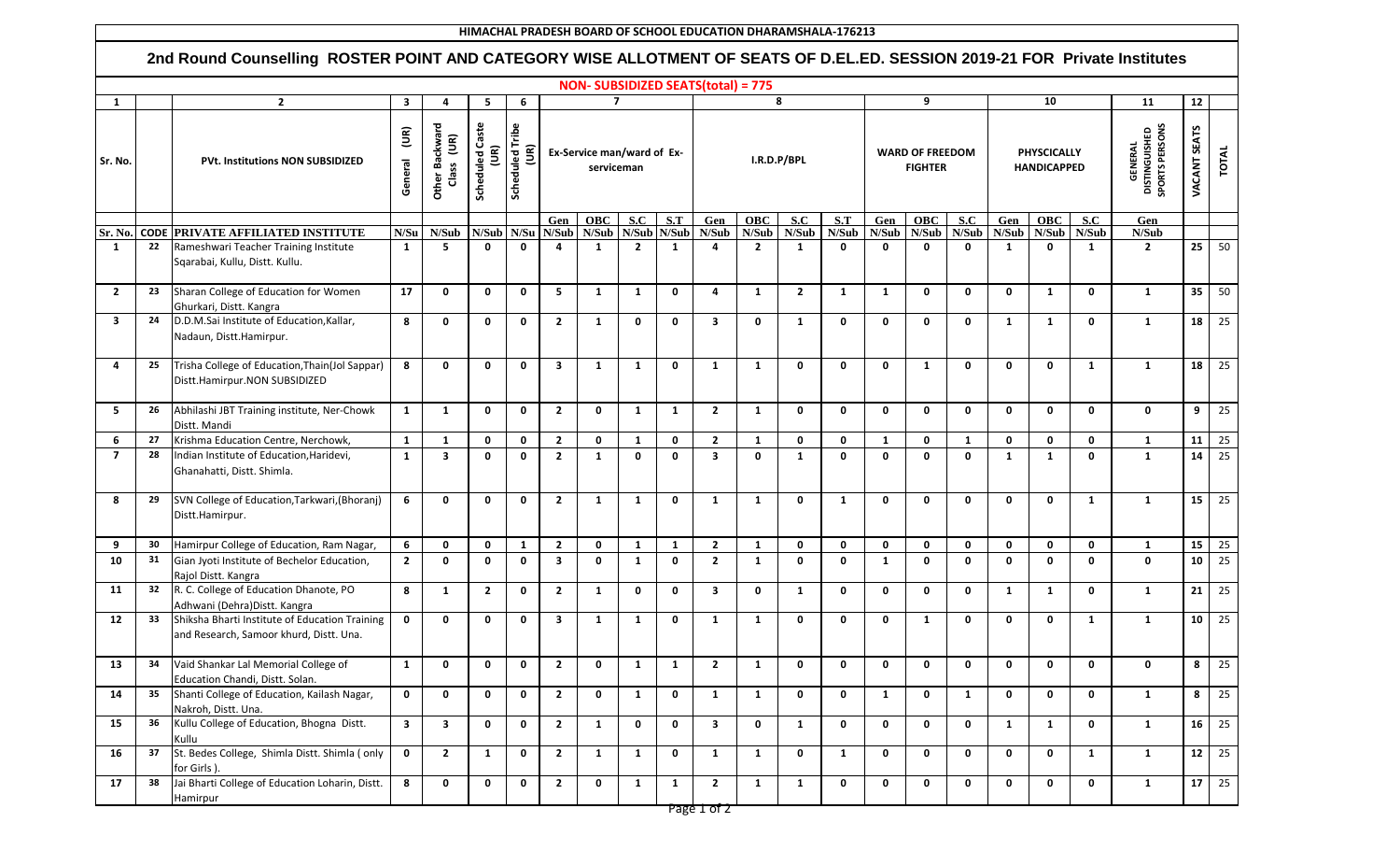| HIMACHAL PRADESH BOARD OF SCHOOL EDUCATION DHARAMSHALA-176213 |                                                                                                                                                                         |                                                                                           |                                     |                                                     |                                             |                         |                                          |                          |                |              |                         |                                                                      |                |              |                                          |              |              |                                          |              |              |                                                   |                 |              |
|---------------------------------------------------------------|-------------------------------------------------------------------------------------------------------------------------------------------------------------------------|-------------------------------------------------------------------------------------------|-------------------------------------|-----------------------------------------------------|---------------------------------------------|-------------------------|------------------------------------------|--------------------------|----------------|--------------|-------------------------|----------------------------------------------------------------------|----------------|--------------|------------------------------------------|--------------|--------------|------------------------------------------|--------------|--------------|---------------------------------------------------|-----------------|--------------|
|                                                               | 2nd Round Counselling ROSTER POINT AND CATEGORY WISE ALLOTMENT OF SEATS OF D.EL.ED. SESSION 2019-21 FOR Private Institutes<br><b>NON- SUBSIDIZED SEATS(total) = 775</b> |                                                                                           |                                     |                                                     |                                             |                         |                                          |                          |                |              |                         |                                                                      |                |              |                                          |              |              |                                          |              |              |                                                   |                 |              |
|                                                               |                                                                                                                                                                         |                                                                                           |                                     |                                                     |                                             |                         |                                          |                          |                |              |                         |                                                                      |                |              |                                          |              |              |                                          |              |              |                                                   |                 |              |
| 1                                                             |                                                                                                                                                                         | $\mathbf{2}$                                                                              | $\overline{\mathbf{3}}$             | 4                                                   | 5                                           | 6                       |                                          |                          | $\overline{7}$ |              | 8                       |                                                                      |                |              | 9                                        |              |              | 10                                       |              |              | 11                                                | 12              |              |
| Sr. No.                                                       |                                                                                                                                                                         | <b>PVt. Institutions NON SUBSIDIZED</b>                                                   | $\widetilde{\mathsf{E}}$<br>General | Other Backward<br>$\widetilde{\mathsf{E}}$<br>Class | <b>Scheduled Caste</b><br>$\widetilde{\Xi}$ | Scheduled Tribe<br>(UR) | Ex-Service man/ward of Ex-<br>serviceman |                          |                |              |                         |                                                                      | I.R.D.P/BPL    |              | <b>WARD OF FREEDOM</b><br><b>FIGHTER</b> |              |              | <b>PHYSCICALLY</b><br><b>HANDICAPPED</b> |              |              | <b>GENERAL</b><br>DISTINGUISHED<br>SPORTS PERSONS | VACANT SEATS    | TOTAL        |
|                                                               |                                                                                                                                                                         |                                                                                           |                                     |                                                     |                                             |                         | Gen                                      | <b>OBC</b><br>S.C<br>S.T |                |              |                         | $\overline{\mathbf{S} \cdot \mathbf{C}}$<br><b>OBC</b><br>Gen<br>S.T |                |              |                                          | <b>OBC</b>   | S.C          | Gen                                      | <b>OBC</b>   | S.C          | Gen                                               |                 |              |
| Sr. No.                                                       |                                                                                                                                                                         | CODE PRIVATE AFFILIATED INSTITUTE                                                         | N/Su                                | N/Sub                                               | N/Sub N/Su                                  |                         | N/Sub                                    | N/Sub N/Sub N/Sub        |                |              | N/Sub                   | N/Sub                                                                | N/Sub          | N/Sub        | N/Sub                                    | N/Sub        | N/Sub        | N/Sub                                    | N/Sub        | N/Sub        | N/Sub                                             |                 |              |
| 1                                                             | 22                                                                                                                                                                      | Rameshwari Teacher Training Institute<br>Sqarabai, Kullu, Distt. Kullu.                   | -1                                  | 5                                                   | 0                                           | $\mathbf 0$             | $\overline{\mathbf{a}}$                  | $\mathbf{1}$             | $\overline{2}$ | $\mathbf{1}$ | 4                       | $\overline{2}$                                                       | 1              | $\mathbf{0}$ | 0                                        | 0            | 0            | 1                                        | 0            | 1            | $\overline{2}$                                    | 25 <sub>1</sub> | 50           |
| $\overline{2}$                                                | 23                                                                                                                                                                      | Sharan College of Education for Women<br>Ghurkari, Distt. Kangra                          | 17                                  | $\mathbf 0$                                         | 0                                           | $\mathbf 0$             | 5                                        | 1                        | $\mathbf{1}$   | $\mathbf 0$  | 4                       | $\mathbf{1}$                                                         | $\overline{2}$ | 1            | 1                                        | $\mathbf 0$  | $\mathbf{0}$ | $\mathbf{0}$                             | 1            | $\mathbf 0$  | $\mathbf{1}$                                      | 35 <sup>1</sup> | 50           |
| 3                                                             | 24                                                                                                                                                                      | D.D.M.Sai Institute of Education, Kallar,<br>Nadaun, Distt.Hamirpur.                      | 8                                   | $\mathbf 0$                                         | 0                                           | $\mathbf 0$             | $\overline{2}$                           | $\mathbf{1}$             | 0              | 0            | $\overline{\mathbf{3}}$ | $\mathbf{0}$                                                         | $\mathbf{1}$   | $\mathbf 0$  | 0                                        | $\mathbf 0$  | $\mathbf 0$  | 1                                        | 1            | $\mathbf{0}$ | $\mathbf{1}$                                      | 18 <sup>1</sup> | 25           |
| 4                                                             | 25                                                                                                                                                                      | Trisha College of Education, Thain(Jol Sappar)<br>Distt.Hamirpur.NON SUBSIDIZED           | 8                                   | $\mathbf{0}$                                        | $\mathbf{0}$                                | $\mathbf 0$             | $\overline{\mathbf{3}}$                  | 1                        | 1              | $\mathbf 0$  | 1                       | $\mathbf{1}$                                                         | $\mathbf{0}$   | $\mathbf{0}$ | $\mathbf{0}$                             | $\mathbf{1}$ | $\mathbf{0}$ | $\mathbf{0}$                             | $\mathbf{0}$ | $\mathbf{1}$ | $\mathbf{1}$                                      | 18 <sup>1</sup> | 25           |
| 5                                                             | 26                                                                                                                                                                      | Abhilashi JBT Training institute, Ner-Chowk<br>Distt. Mandi                               | <b>1</b>                            | 1                                                   | 0                                           | 0                       | $\overline{2}$                           | 0                        | 1              | 1            | $\overline{2}$          | $\mathbf{1}$                                                         | $\mathbf 0$    | $\mathbf 0$  | 0                                        | 0            | $\mathbf 0$  | $\mathbf 0$                              | $\mathbf 0$  | $\mathbf 0$  | $\mathbf 0$                                       | 9               | 25           |
| 6                                                             | 27                                                                                                                                                                      | Krishma Education Centre, Nerchowk,                                                       | $\mathbf{1}$                        | $\mathbf{1}$                                        | 0                                           | $\mathbf 0$             | $\overline{2}$                           | $\mathbf{0}$             | $\mathbf{1}$   | 0            | $\overline{2}$          | $\mathbf{1}$                                                         | $\mathbf 0$    | $\mathbf{0}$ | 1                                        | $\mathbf 0$  | $\mathbf{1}$ | 0                                        | $\mathbf 0$  | $\mathbf{0}$ | $\mathbf{1}$                                      |                 | $11 \mid 25$ |
| $\overline{7}$                                                | 28                                                                                                                                                                      | Indian Institute of Education, Haridevi,<br>Ghanahatti, Distt. Shimla.                    | <sup>1</sup>                        | $\overline{\mathbf{3}}$                             | $\mathbf{0}$                                | $\mathbf 0$             | $\overline{2}$                           | $\mathbf{1}$             | $\mathbf{0}$   | $\mathbf{0}$ | $\overline{\mathbf{3}}$ | $\mathbf{0}$                                                         | $\mathbf{1}$   | $\mathbf{0}$ | $\mathbf{0}$                             | $\mathbf 0$  | $\mathbf{0}$ | $\mathbf{1}$                             | 1            | $\mathbf{0}$ | $\mathbf{1}$                                      | 14              | 25           |
| 8                                                             | 29                                                                                                                                                                      | SVN College of Education, Tarkwari, (Bhoranj)<br>Distt.Hamirpur.                          | 6                                   | $\mathbf{0}$                                        | $\mathbf{0}$                                | $\mathbf{0}$            | $\overline{2}$                           | $\mathbf{1}$             | $\mathbf{1}$   | $\mathbf{0}$ | 1                       | $\mathbf{1}$                                                         | $\mathbf{0}$   | 1            | $\mathbf{0}$                             | $\mathbf{0}$ | $\mathbf{0}$ | $\Omega$                                 | $\mathbf{0}$ | $\mathbf{1}$ | $\mathbf{1}$                                      | 15 <sup>1</sup> | 25           |
| 9                                                             | 30                                                                                                                                                                      | Hamirpur College of Education, Ram Nagar,                                                 | 6                                   | $\mathbf 0$                                         | $\mathbf 0$                                 | $\mathbf{1}$            | $\overline{2}$                           | 0                        | $\mathbf{1}$   | 1            | $\overline{2}$          | $\mathbf{1}$                                                         | $\mathbf 0$    | $\mathbf 0$  | $\mathbf 0$                              | $\mathbf 0$  | $\mathbf 0$  | 0                                        | $\mathbf 0$  | $\mathbf 0$  | 1                                                 | 15 <sup>1</sup> | 25           |
| 10                                                            | 31                                                                                                                                                                      | Gian Jyoti Institute of Bechelor Education,<br>Rajol Distt. Kangra                        | $\overline{2}$                      | $\mathbf 0$                                         | $\mathbf 0$                                 | $\mathbf 0$             | $\overline{\mathbf{3}}$                  | 0                        | 1              | $\mathbf 0$  | $\overline{2}$          | $\mathbf{1}$                                                         | $\mathbf 0$    | $\mathbf 0$  | 1                                        | $\mathbf 0$  | $\mathbf{0}$ | $\mathbf{0}$                             | $\mathbf 0$  | $\mathbf{0}$ | $\mathbf 0$                                       | 10 <sup>1</sup> | 25           |
| 11                                                            | 32                                                                                                                                                                      | R. C. College of Education Dhanote, PO<br>Adhwani (Dehra) Distt. Kangra                   | 8                                   | $\mathbf{1}$                                        | $\mathbf{2}$                                | $\mathbf 0$             | $\overline{2}$                           | $\mathbf{1}$             | $\mathbf{0}$   | 0            | $\overline{\mathbf{3}}$ | $\mathbf 0$                                                          | $\mathbf{1}$   | $\mathbf 0$  | $\mathbf 0$                              | $\mathbf 0$  | $\mathbf 0$  | 1                                        | 1            | $\mathbf 0$  | $\mathbf{1}$                                      | 21              | 25           |
| 12                                                            | 33                                                                                                                                                                      | Shiksha Bharti Institute of Education Training<br>and Research, Samoor khurd, Distt. Una. | 0                                   | $\mathbf{0}$                                        | $\mathbf{0}$                                | $\mathbf 0$             | $\overline{\mathbf{3}}$                  | $\mathbf{1}$             | 1              | 0            | 1                       | 1                                                                    | $\mathbf 0$    | 0            | 0                                        | $\mathbf{1}$ | 0            | 0                                        | $\mathbf{0}$ | $\mathbf{1}$ | $\mathbf{1}$                                      | 10 <sup>1</sup> | 25           |
| 13                                                            | 34                                                                                                                                                                      | Vaid Shankar Lal Memorial College of<br>Education Chandi, Distt. Solan.                   | <sup>1</sup>                        | 0                                                   | $\mathbf 0$                                 | $\mathbf 0$             | $\overline{2}$                           | 0                        | 1              | $\mathbf{1}$ | $\overline{2}$          | $\mathbf{1}$                                                         | $\mathbf{0}$   | $\mathbf{0}$ | $\mathbf{0}$                             | $\mathbf 0$  | 0            | $\mathbf{0}$                             | $\mathbf{0}$ | $\mathbf{0}$ | $\mathbf{0}$                                      | 8               | 25           |
| 14                                                            | 35                                                                                                                                                                      | Shanti College of Education, Kailash Nagar,<br>Nakroh, Distt. Una.                        | $\mathbf 0$                         | $\mathbf 0$                                         | $\mathbf 0$                                 | $\mathbf 0$             | $\overline{2}$                           | $\mathbf 0$              | 1              | $\mathbf 0$  | 1                       | $\mathbf{1}$                                                         | $\mathbf 0$    | $\mathbf 0$  | 1                                        | $\mathbf 0$  | $\mathbf{1}$ | $\mathbf 0$                              | $\mathbf 0$  | $\mathbf 0$  | $\mathbf{1}$                                      | 8 <sup>1</sup>  | 25           |
| 15                                                            | 36                                                                                                                                                                      | Kullu College of Education, Bhogna Distt.<br>Kullu                                        | $\overline{\mathbf{3}}$             | $\mathbf{3}$                                        | $\mathbf 0$                                 | $\mathbf 0$             | $\overline{2}$                           | $\mathbf{1}$             | $\mathbf 0$    | $\mathbf 0$  | $\overline{\mathbf{3}}$ | $\mathbf 0$                                                          | $\mathbf{1}$   | $\mathbf 0$  | $\mathbf{0}$                             | $\mathbf 0$  | $\mathbf 0$  | 1                                        | $\mathbf{1}$ | $\mathbf 0$  | $\mathbf{1}$                                      |                 | $16 \mid 25$ |
| 16                                                            | 37                                                                                                                                                                      | St. Bedes College, Shimla Distt. Shimla (only<br>for Girls).                              | $\mathbf 0$                         | $\overline{2}$                                      | $\mathbf{1}$                                | $\mathbf 0$             | $\overline{2}$                           | $\mathbf{1}$             | 1              | $\mathbf 0$  | 1                       | $\mathbf{1}$                                                         | $\mathbf 0$    | 1            | $\mathbf 0$                              | $\mathbf 0$  | $\mathbf 0$  | $\mathbf 0$                              | $\mathbf 0$  | $\mathbf{1}$ | $\mathbf{1}$                                      |                 | $12 \mid 25$ |
| 17                                                            | 38                                                                                                                                                                      | Jai Bharti College of Education Loharin, Distt.<br><b>Hamirpur</b>                        | 8                                   | $\mathbf 0$                                         | $\mathbf 0$                                 | $\mathbf 0$             | $\overline{2}$                           | $\mathbf 0$              | 1              | $\mathbf{1}$ | $\overline{2}$          | $\mathbf{1}$                                                         | $\mathbf{1}$   | $\mathbf 0$  | $\mathbf 0$                              | $\mathbf 0$  | $\mathbf 0$  | $\mathbf 0$                              | $\mathbf 0$  | $\mathbf 0$  | $\mathbf{1}$                                      |                 | $17 \mid 25$ |